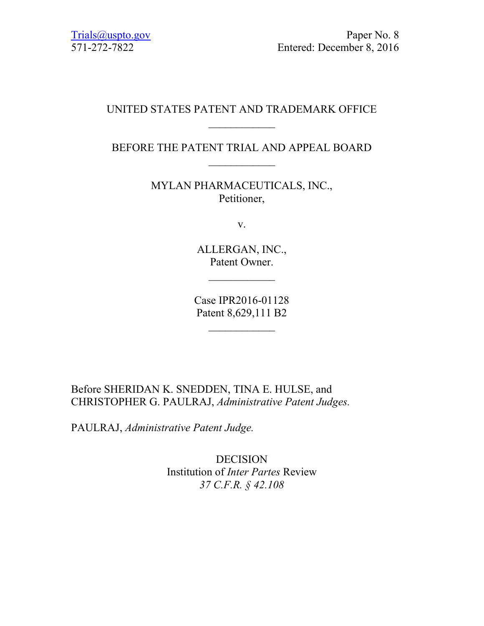### UNITED STATES PATENT AND TRADEMARK OFFICE  $\frac{1}{2}$

## BEFORE THE PATENT TRIAL AND APPEAL BOARD  $\frac{1}{2}$

MYLAN PHARMACEUTICALS, INC., Petitioner,

v.

ALLERGAN, INC., Patent Owner.

Case IPR2016-01128 Patent 8,629,111 B2

 $\frac{1}{2}$ 

Before SHERIDAN K. SNEDDEN, TINA E. HULSE, and CHRISTOPHER G. PAULRAJ, *Administrative Patent Judges.*

PAULRAJ, *Administrative Patent Judge.*

DECISION Institution of *Inter Partes* Review *37 C.F.R. § 42.108*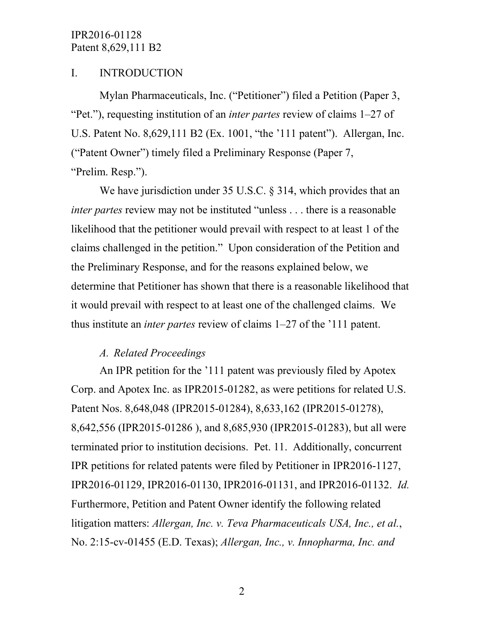### I. INTRODUCTION

Mylan Pharmaceuticals, Inc. ("Petitioner") filed a Petition (Paper 3, "Pet."), requesting institution of an *inter partes* review of claims 1–27 of U.S. Patent No. 8,629,111 B2 (Ex. 1001, "the '111 patent"). Allergan, Inc. ("Patent Owner") timely filed a Preliminary Response (Paper 7, "Prelim. Resp.").

We have jurisdiction under 35 U.S.C. § 314, which provides that an *inter partes review may not be instituted "unless . . . there is a reasonable* likelihood that the petitioner would prevail with respect to at least 1 of the claims challenged in the petition." Upon consideration of the Petition and the Preliminary Response, and for the reasons explained below, we determine that Petitioner has shown that there is a reasonable likelihood that it would prevail with respect to at least one of the challenged claims. We thus institute an *inter partes* review of claims 1–27 of the '111 patent.

### *A. Related Proceedings*

An IPR petition for the '111 patent was previously filed by Apotex Corp. and Apotex Inc. as IPR2015-01282, as were petitions for related U.S. Patent Nos. 8,648,048 (IPR2015-01284), 8,633,162 (IPR2015-01278), 8,642,556 (IPR2015-01286 ), and 8,685,930 (IPR2015-01283), but all were terminated prior to institution decisions. Pet. 11. Additionally, concurrent IPR petitions for related patents were filed by Petitioner in IPR2016-1127, IPR2016-01129, IPR2016-01130, IPR2016-01131, and IPR2016-01132. *Id.* Furthermore, Petition and Patent Owner identify the following related litigation matters: *Allergan, Inc. v. Teva Pharmaceuticals USA, Inc., et al.*, No. 2:15-cv-01455 (E.D. Texas); *Allergan, Inc., v. Innopharma, Inc. and*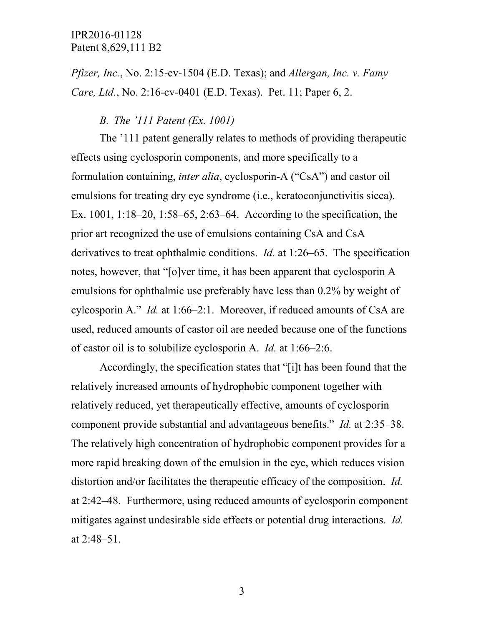*Pfizer, Inc.*, No. 2:15-cv-1504 (E.D. Texas); and *Allergan, Inc. v. Famy Care, Ltd.*, No. 2:16-cv-0401 (E.D. Texas). Pet. 11; Paper 6, 2.

#### *B. The '111 Patent (Ex. 1001)*

The '111 patent generally relates to methods of providing therapeutic effects using cyclosporin components, and more specifically to a formulation containing, *inter alia*, cyclosporin-A ("CsA") and castor oil emulsions for treating dry eye syndrome (i.e., keratoconjunctivitis sicca). Ex. 1001, 1:18–20, 1:58–65, 2:63–64. According to the specification, the prior art recognized the use of emulsions containing CsA and CsA derivatives to treat ophthalmic conditions. *Id.* at 1:26–65. The specification notes, however, that "[o]ver time, it has been apparent that cyclosporin A emulsions for ophthalmic use preferably have less than 0.2% by weight of cylcosporin A." *Id.* at 1:66–2:1. Moreover, if reduced amounts of CsA are used, reduced amounts of castor oil are needed because one of the functions of castor oil is to solubilize cyclosporin A. *Id.* at 1:66–2:6.

Accordingly, the specification states that "[i]t has been found that the relatively increased amounts of hydrophobic component together with relatively reduced, yet therapeutically effective, amounts of cyclosporin component provide substantial and advantageous benefits." *Id.* at 2:35–38. The relatively high concentration of hydrophobic component provides for a more rapid breaking down of the emulsion in the eye, which reduces vision distortion and/or facilitates the therapeutic efficacy of the composition. *Id.* at 2:42–48. Furthermore, using reduced amounts of cyclosporin component mitigates against undesirable side effects or potential drug interactions. *Id.* at 2:48–51.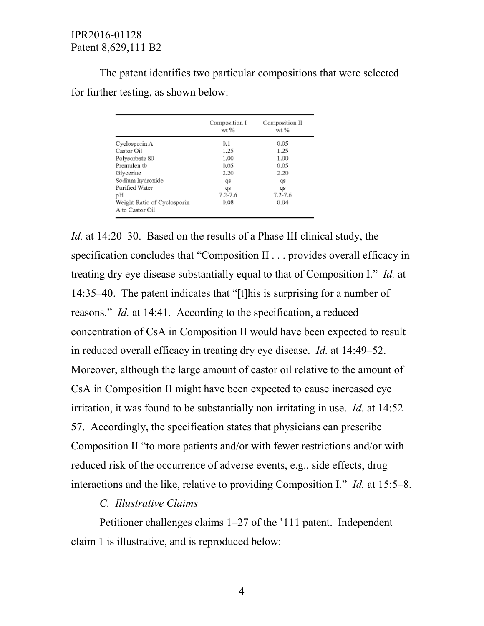The patent identifies two particular compositions that were selected for further testing, as shown below:

|                                                | Composition I<br>$wt$ % | Composition II<br>wt % |  |
|------------------------------------------------|-------------------------|------------------------|--|
| Cyclosporin A                                  | 0.1                     | 0.05                   |  |
| Castor Oil                                     | 1.25                    | 1.25                   |  |
| Polysorbate 80                                 | 1.00                    | 1.00                   |  |
| Premulen ®                                     | 0.05                    | 0.05                   |  |
| Glycerine                                      | 2.20                    | 2.20                   |  |
| Sodium hydroxide                               | qs                      | qs                     |  |
| Purified Water                                 | qs                      | qs                     |  |
| рH                                             | $7.2 - 7.6$             | $7.2 - 7.6$            |  |
| Weight Ratio of Cyclosporin<br>A to Castor Oil | 0.08                    | 0.04                   |  |

*Id.* at 14:20–30. Based on the results of a Phase III clinical study, the specification concludes that "Composition II . . . provides overall efficacy in treating dry eye disease substantially equal to that of Composition I." *Id.* at 14:35–40. The patent indicates that "[t]his is surprising for a number of reasons." *Id.* at 14:41. According to the specification, a reduced concentration of CsA in Composition II would have been expected to result in reduced overall efficacy in treating dry eye disease. *Id.* at 14:49–52. Moreover, although the large amount of castor oil relative to the amount of CsA in Composition II might have been expected to cause increased eye irritation, it was found to be substantially non-irritating in use. *Id.* at 14:52– 57. Accordingly, the specification states that physicians can prescribe Composition II "to more patients and/or with fewer restrictions and/or with reduced risk of the occurrence of adverse events, e.g., side effects, drug interactions and the like, relative to providing Composition I." *Id.* at 15:5–8.

### *C. Illustrative Claims*

Petitioner challenges claims 1–27 of the '111 patent. Independent claim 1 is illustrative, and is reproduced below: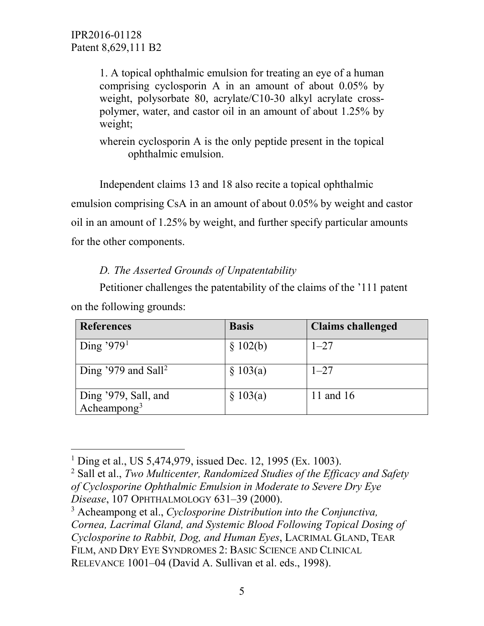1. A topical ophthalmic emulsion for treating an eye of a human comprising cyclosporin A in an amount of about 0.05% by weight, polysorbate 80, acrylate/C10-30 alkyl acrylate crosspolymer, water, and castor oil in an amount of about 1.25% by weight;

wherein cyclosporin A is the only peptide present in the topical ophthalmic emulsion.

Independent claims 13 and 18 also recite a topical ophthalmic emulsion comprising CsA in an amount of about 0.05% by weight and castor oil in an amount of 1.25% by weight, and further specify particular amounts for the other components.

# *D. The Asserted Grounds of Unpatentability*

Petitioner challenges the patentability of the claims of the '111 patent on the following grounds:

| <b>References</b>                               | <b>Basis</b> | <b>Claims challenged</b> |
|-------------------------------------------------|--------------|--------------------------|
| Ding '979 <sup>1</sup>                          | \$102(b)     | $1 - 27$                 |
| Ding '979 and Sall <sup>2</sup>                 | \$103(a)     | $1 - 27$                 |
| Ding '979, Sall, and<br>Acheampong <sup>3</sup> | \$103(a)     | 11 and 16                |

<span id="page-4-0"></span><sup>&</sup>lt;sup>1</sup> Ding et al., US 5,474,979, issued Dec. 12, 1995 (Ex. 1003).

<span id="page-4-1"></span><sup>2</sup> Sall et al., *Two Multicenter, Randomized Studies of the Efficacy and Safety of Cyclosporine Ophthalmic Emulsion in Moderate to Severe Dry Eye Disease*, 107 OPHTHALMOLOGY 631–39 (2000).

<span id="page-4-2"></span><sup>3</sup> Acheampong et al., *Cyclosporine Distribution into the Conjunctiva, Cornea, Lacrimal Gland, and Systemic Blood Following Topical Dosing of Cyclosporine to Rabbit, Dog, and Human Eyes*, LACRIMAL GLAND, TEAR FILM, AND DRY EYE SYNDROMES 2: BASIC SCIENCE AND CLINICAL RELEVANCE 1001–04 (David A. Sullivan et al. eds., 1998).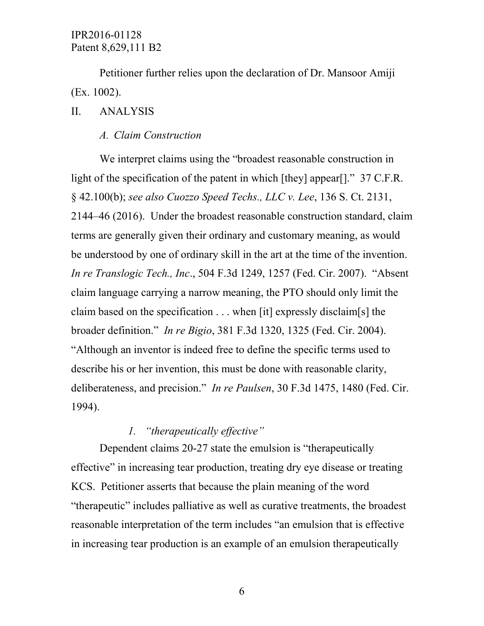Petitioner further relies upon the declaration of Dr. Mansoor Amiji (Ex. 1002).

#### II. ANALYSIS

#### *A. Claim Construction*

We interpret claims using the "broadest reasonable construction in light of the specification of the patent in which [they] appear[]." 37 C.F.R. § 42.100(b); *see also Cuozzo Speed Techs., LLC v. Lee*, 136 S. Ct. 2131, 2144–46 (2016). Under the broadest reasonable construction standard, claim terms are generally given their ordinary and customary meaning, as would be understood by one of ordinary skill in the art at the time of the invention. *In re Translogic Tech., Inc*., 504 F.3d 1249, 1257 (Fed. Cir. 2007). "Absent claim language carrying a narrow meaning, the PTO should only limit the claim based on the specification . . . when [it] expressly disclaim[s] the broader definition." *In re Bigio*, 381 F.3d 1320, 1325 (Fed. Cir. 2004). "Although an inventor is indeed free to define the specific terms used to describe his or her invention, this must be done with reasonable clarity, deliberateness, and precision." *In re Paulsen*, 30 F.3d 1475, 1480 (Fed. Cir. 1994).

## *1. "therapeutically effective"*

Dependent claims 20-27 state the emulsion is "therapeutically effective" in increasing tear production, treating dry eye disease or treating KCS. Petitioner asserts that because the plain meaning of the word "therapeutic" includes palliative as well as curative treatments, the broadest reasonable interpretation of the term includes "an emulsion that is effective in increasing tear production is an example of an emulsion therapeutically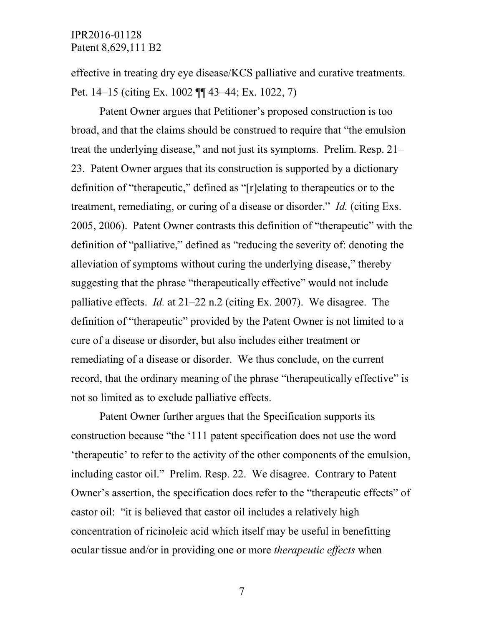effective in treating dry eye disease/KCS palliative and curative treatments. Pet. 14–15 (citing Ex. 1002 ¶¶ 43–44; Ex. 1022, 7)

Patent Owner argues that Petitioner's proposed construction is too broad, and that the claims should be construed to require that "the emulsion treat the underlying disease," and not just its symptoms. Prelim. Resp. 21– 23. Patent Owner argues that its construction is supported by a dictionary definition of "therapeutic," defined as "[r]elating to therapeutics or to the treatment, remediating, or curing of a disease or disorder." *Id.* (citing Exs. 2005, 2006). Patent Owner contrasts this definition of "therapeutic" with the definition of "palliative," defined as "reducing the severity of: denoting the alleviation of symptoms without curing the underlying disease," thereby suggesting that the phrase "therapeutically effective" would not include palliative effects. *Id.* at 21–22 n.2 (citing Ex. 2007). We disagree. The definition of "therapeutic" provided by the Patent Owner is not limited to a cure of a disease or disorder, but also includes either treatment or remediating of a disease or disorder. We thus conclude, on the current record, that the ordinary meaning of the phrase "therapeutically effective" is not so limited as to exclude palliative effects.

Patent Owner further argues that the Specification supports its construction because "the '111 patent specification does not use the word 'therapeutic' to refer to the activity of the other components of the emulsion, including castor oil." Prelim. Resp. 22. We disagree. Contrary to Patent Owner's assertion, the specification does refer to the "therapeutic effects" of castor oil: "it is believed that castor oil includes a relatively high concentration of ricinoleic acid which itself may be useful in benefitting ocular tissue and/or in providing one or more *therapeutic effects* when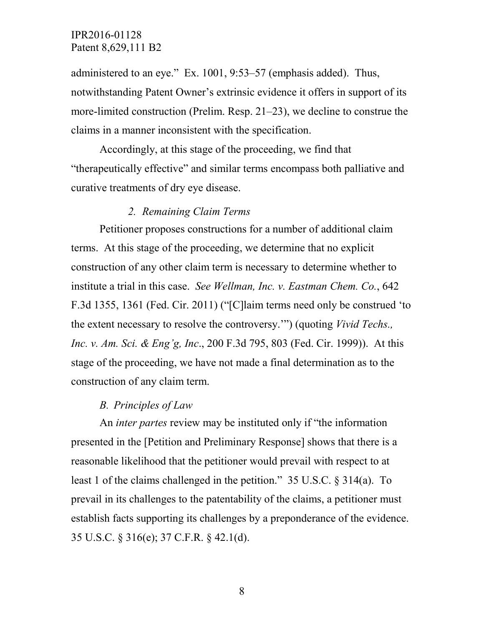administered to an eye." Ex. 1001, 9:53–57 (emphasis added). Thus, notwithstanding Patent Owner's extrinsic evidence it offers in support of its more-limited construction (Prelim. Resp. 21–23), we decline to construe the claims in a manner inconsistent with the specification.

Accordingly, at this stage of the proceeding, we find that "therapeutically effective" and similar terms encompass both palliative and curative treatments of dry eye disease.

### *2. Remaining Claim Terms*

Petitioner proposes constructions for a number of additional claim terms. At this stage of the proceeding, we determine that no explicit construction of any other claim term is necessary to determine whether to institute a trial in this case. *See Wellman, Inc. v. Eastman Chem. Co.*, 642 F.3d 1355, 1361 (Fed. Cir. 2011) ("[C]laim terms need only be construed 'to the extent necessary to resolve the controversy.'") (quoting *Vivid Techs., Inc. v. Am. Sci. & Eng'g, Inc*., 200 F.3d 795, 803 (Fed. Cir. 1999)). At this stage of the proceeding, we have not made a final determination as to the construction of any claim term.

#### *B. Principles of Law*

An *inter partes* review may be instituted only if "the information presented in the [Petition and Preliminary Response] shows that there is a reasonable likelihood that the petitioner would prevail with respect to at least 1 of the claims challenged in the petition." 35 U.S.C. § 314(a). To prevail in its challenges to the patentability of the claims, a petitioner must establish facts supporting its challenges by a preponderance of the evidence. 35 U.S.C. § 316(e); 37 C.F.R. § 42.1(d).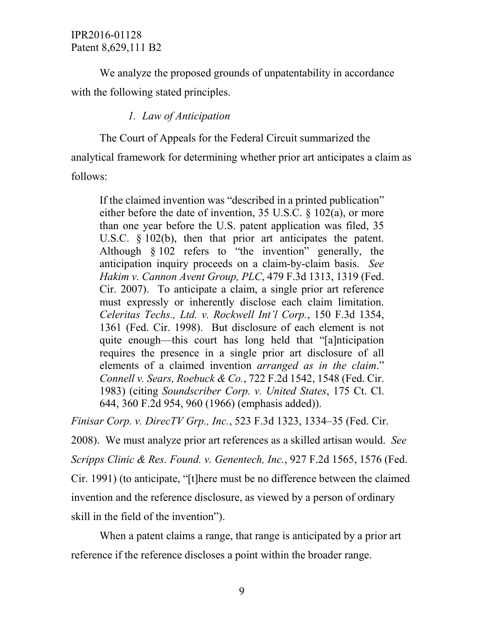We analyze the proposed grounds of unpatentability in accordance with the following stated principles.

### *1. Law of Anticipation*

The Court of Appeals for the Federal Circuit summarized the analytical framework for determining whether prior art anticipates a claim as follows:

If the claimed invention was "described in a printed publication" either before the date of invention, 35 U.S.C. § 102(a), or more than one year before the U.S. patent application was filed, 35 U.S.C. § 102(b), then that prior art anticipates the patent. Although § 102 refers to "the invention" generally, the anticipation inquiry proceeds on a claim-by-claim basis. *See Hakim v. Cannon Avent Group, PLC*, 479 F.3d 1313, 1319 (Fed. Cir. 2007). To anticipate a claim, a single prior art reference must expressly or inherently disclose each claim limitation. *Celeritas Techs., Ltd. v. Rockwell Int'l Corp.*, 150 F.3d 1354, 1361 (Fed. Cir. 1998). But disclosure of each element is not quite enough—this court has long held that "[a]nticipation requires the presence in a single prior art disclosure of all elements of a claimed invention *arranged as in the claim*." *Connell v. Sears, Roebuck & Co.*, 722 F.2d 1542, 1548 (Fed. Cir. 1983) (citing *Soundscriber Corp. v. United States*, 175 Ct. Cl. 644, 360 F.2d 954, 960 (1966) (emphasis added)).

*Finisar Corp. v. DirecTV Grp., Inc.*, 523 F.3d 1323, 1334–35 (Fed. Cir.

2008). We must analyze prior art references as a skilled artisan would. *See Scripps Clinic & Res. Found. v. Genentech, Inc.*, 927 F.2d 1565, 1576 (Fed. Cir. 1991) (to anticipate, "[t]here must be no difference between the claimed invention and the reference disclosure, as viewed by a person of ordinary skill in the field of the invention").

When a patent claims a range, that range is anticipated by a prior art reference if the reference discloses a point within the broader range.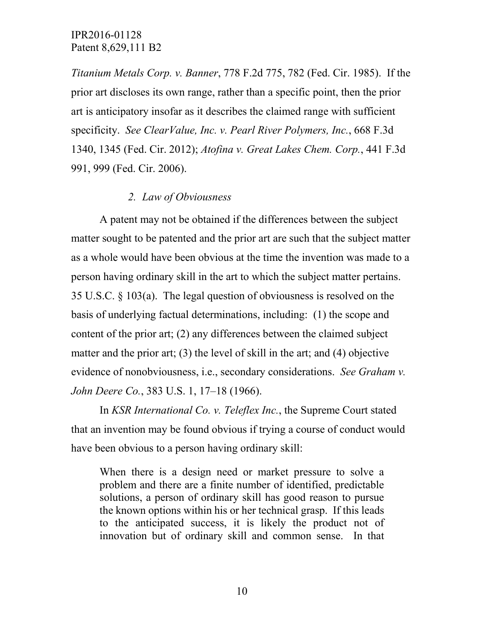*Titanium Metals Corp. v. Banner*, 778 F.2d 775, 782 (Fed. Cir. 1985). If the prior art discloses its own range, rather than a specific point, then the prior art is anticipatory insofar as it describes the claimed range with sufficient specificity. *See ClearValue, Inc. v. Pearl River Polymers, Inc.*, 668 F.3d 1340, 1345 (Fed. Cir. 2012); *Atofina v. Great Lakes Chem. Corp.*, 441 F.3d 991, 999 (Fed. Cir. 2006).

### *2. Law of Obviousness*

A patent may not be obtained if the differences between the subject matter sought to be patented and the prior art are such that the subject matter as a whole would have been obvious at the time the invention was made to a person having ordinary skill in the art to which the subject matter pertains. 35 U.S.C. § 103(a). The legal question of obviousness is resolved on the basis of underlying factual determinations, including: (1) the scope and content of the prior art; (2) any differences between the claimed subject matter and the prior art; (3) the level of skill in the art; and (4) objective evidence of nonobviousness, i.e., secondary considerations. *See Graham v. John Deere Co.*, 383 U.S. 1, 17–18 (1966).

In *KSR International Co. v. Teleflex Inc.*, the Supreme Court stated that an invention may be found obvious if trying a course of conduct would have been obvious to a person having ordinary skill:

When there is a design need or market pressure to solve a problem and there are a finite number of identified, predictable solutions, a person of ordinary skill has good reason to pursue the known options within his or her technical grasp. If this leads to the anticipated success, it is likely the product not of innovation but of ordinary skill and common sense. In that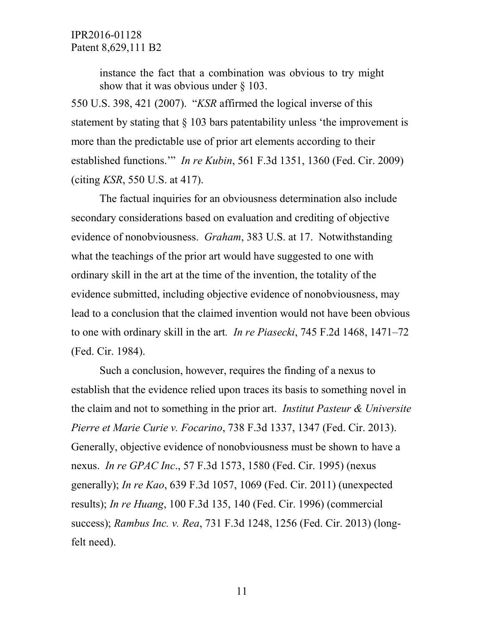instance the fact that a combination was obvious to try might show that it was obvious under § 103.

550 U.S. 398, 421 (2007). "*KSR* affirmed the logical inverse of this statement by stating that § 103 bars patentability unless 'the improvement is more than the predictable use of prior art elements according to their established functions.'" *In re Kubin*, 561 F.3d 1351, 1360 (Fed. Cir. 2009) (citing *KSR*, 550 U.S. at 417).

The factual inquiries for an obviousness determination also include secondary considerations based on evaluation and crediting of objective evidence of nonobviousness. *Graham*, 383 U.S. at 17. Notwithstanding what the teachings of the prior art would have suggested to one with ordinary skill in the art at the time of the invention, the totality of the evidence submitted, including objective evidence of nonobviousness, may lead to a conclusion that the claimed invention would not have been obvious to one with ordinary skill in the art*. In re Piasecki*, 745 F.2d 1468, 1471–72 (Fed. Cir. 1984).

Such a conclusion, however, requires the finding of a nexus to establish that the evidence relied upon traces its basis to something novel in the claim and not to something in the prior art. *Institut Pasteur & Universite Pierre et Marie Curie v. Focarino*, 738 F.3d 1337, 1347 (Fed. Cir. 2013). Generally, objective evidence of nonobviousness must be shown to have a nexus. *In re GPAC Inc*., 57 F.3d 1573, 1580 (Fed. Cir. 1995) (nexus generally); *In re Kao*, 639 F.3d 1057, 1069 (Fed. Cir. 2011) (unexpected results); *In re Huang*, 100 F.3d 135, 140 (Fed. Cir. 1996) (commercial success); *Rambus Inc. v. Rea*, 731 F.3d 1248, 1256 (Fed. Cir. 2013) (longfelt need).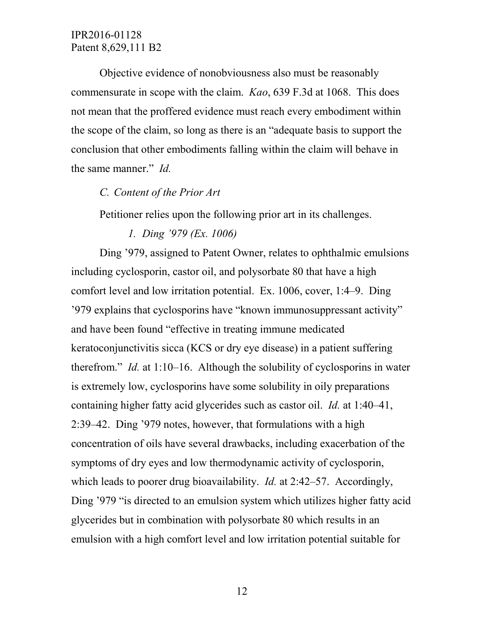Objective evidence of nonobviousness also must be reasonably commensurate in scope with the claim. *Kao*, 639 F.3d at 1068. This does not mean that the proffered evidence must reach every embodiment within the scope of the claim, so long as there is an "adequate basis to support the conclusion that other embodiments falling within the claim will behave in the same manner." *Id.*

### *C. Content of the Prior Art*

Petitioner relies upon the following prior art in its challenges.

*1. Ding '979 (Ex. 1006)*

Ding '979, assigned to Patent Owner, relates to ophthalmic emulsions including cyclosporin, castor oil, and polysorbate 80 that have a high comfort level and low irritation potential. Ex. 1006, cover, 1:4–9. Ding '979 explains that cyclosporins have "known immunosuppressant activity" and have been found "effective in treating immune medicated keratoconjunctivitis sicca (KCS or dry eye disease) in a patient suffering therefrom." *Id.* at 1:10–16. Although the solubility of cyclosporins in water is extremely low, cyclosporins have some solubility in oily preparations containing higher fatty acid glycerides such as castor oil. *Id.* at 1:40–41, 2:39–42. Ding '979 notes, however, that formulations with a high concentration of oils have several drawbacks, including exacerbation of the symptoms of dry eyes and low thermodynamic activity of cyclosporin, which leads to poorer drug bioavailability. *Id.* at 2:42–57. Accordingly, Ding '979 "is directed to an emulsion system which utilizes higher fatty acid glycerides but in combination with polysorbate 80 which results in an emulsion with a high comfort level and low irritation potential suitable for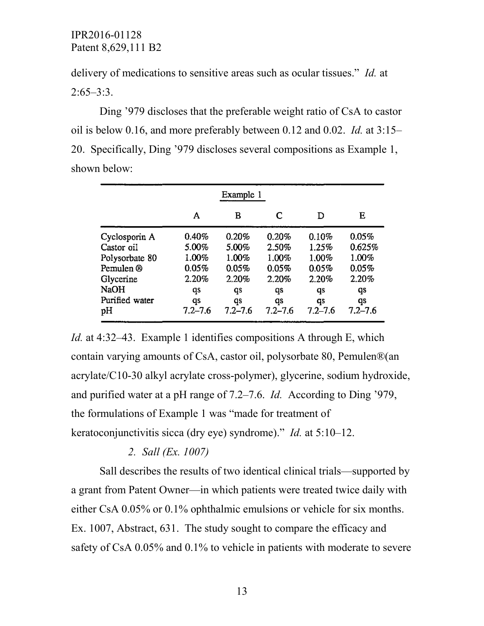delivery of medications to sensitive areas such as ocular tissues." *Id.* at  $2:65-3:3$ .

Ding '979 discloses that the preferable weight ratio of CsA to castor oil is below 0.16, and more preferably between 0.12 and 0.02. *Id.* at 3:15– 20. Specifically, Ding '979 discloses several compositions as Example 1, shown below:

| Example 1      |             |             |             |             |             |  |
|----------------|-------------|-------------|-------------|-------------|-------------|--|
|                | Α           | в           | C           | D           | E           |  |
| Cyclosporin A  | 0.40%       | 0.20%       | 0.20%       | 0.10%       | 0.05%       |  |
| Castor oil     | 5.00%       | 5.00%       | 2.50%       | 1.25%       | 0.625%      |  |
| Polysorbate 80 | 1.00%       | 1.00%       | 1.00%       | 1.00%       | 1.00%       |  |
| Pemulen ®      | 0.05%       | 0.05%       | 0.05%       | 0.05%       | 0.05%       |  |
| Glycerine      | 2.20%       | 2.20%       | 2.20%       | 2.20%       | 2.20%       |  |
| NaOH           | qs          | qs          | qs          | qs          | qs          |  |
| Purified water | qs          | qs          | qs          | qs          | qs          |  |
| pН             | $7.2 - 7.6$ | $7.2 - 7.6$ | $7.2 - 7.6$ | $7.2 - 7.6$ | $7.2 - 7.6$ |  |

*Id.* at 4:32–43. Example 1 identifies compositions A through E, which contain varying amounts of CsA, castor oil, polysorbate 80, Pemulen®(an acrylate/C10-30 alkyl acrylate cross-polymer), glycerine, sodium hydroxide, and purified water at a pH range of 7.2–7.6. *Id.* According to Ding '979, the formulations of Example 1 was "made for treatment of keratoconjunctivitis sicca (dry eye) syndrome)." *Id.* at 5:10–12.

### *2. Sall (Ex. 1007)*

Sall describes the results of two identical clinical trials—supported by a grant from Patent Owner—in which patients were treated twice daily with either CsA 0.05% or 0.1% ophthalmic emulsions or vehicle for six months. Ex. 1007, Abstract, 631. The study sought to compare the efficacy and safety of CsA 0.05% and 0.1% to vehicle in patients with moderate to severe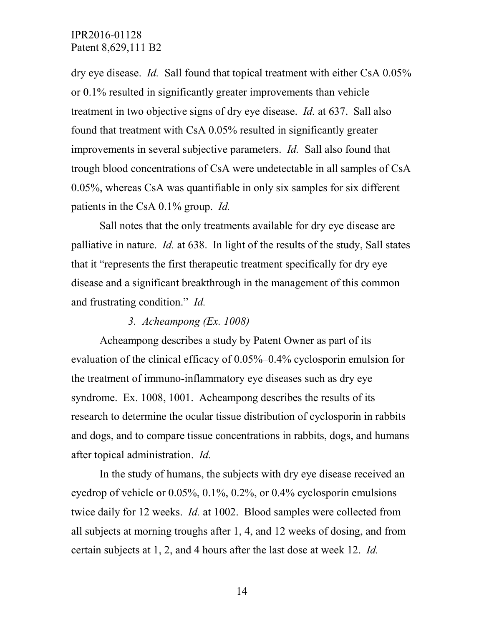dry eye disease. *Id.* Sall found that topical treatment with either CsA 0.05% or 0.1% resulted in significantly greater improvements than vehicle treatment in two objective signs of dry eye disease. *Id.* at 637. Sall also found that treatment with CsA 0.05% resulted in significantly greater improvements in several subjective parameters. *Id.* Sall also found that trough blood concentrations of CsA were undetectable in all samples of CsA 0.05%, whereas CsA was quantifiable in only six samples for six different patients in the CsA 0.1% group. *Id.*

Sall notes that the only treatments available for dry eye disease are palliative in nature. *Id.* at 638. In light of the results of the study, Sall states that it "represents the first therapeutic treatment specifically for dry eye disease and a significant breakthrough in the management of this common and frustrating condition." *Id.*

#### *3. Acheampong (Ex. 1008)*

Acheampong describes a study by Patent Owner as part of its evaluation of the clinical efficacy of 0.05%–0.4% cyclosporin emulsion for the treatment of immuno-inflammatory eye diseases such as dry eye syndrome. Ex. 1008, 1001. Acheampong describes the results of its research to determine the ocular tissue distribution of cyclosporin in rabbits and dogs, and to compare tissue concentrations in rabbits, dogs, and humans after topical administration. *Id.*

In the study of humans, the subjects with dry eye disease received an eyedrop of vehicle or 0.05%, 0.1%, 0.2%, or 0.4% cyclosporin emulsions twice daily for 12 weeks. *Id.* at 1002. Blood samples were collected from all subjects at morning troughs after 1, 4, and 12 weeks of dosing, and from certain subjects at 1, 2, and 4 hours after the last dose at week 12. *Id.*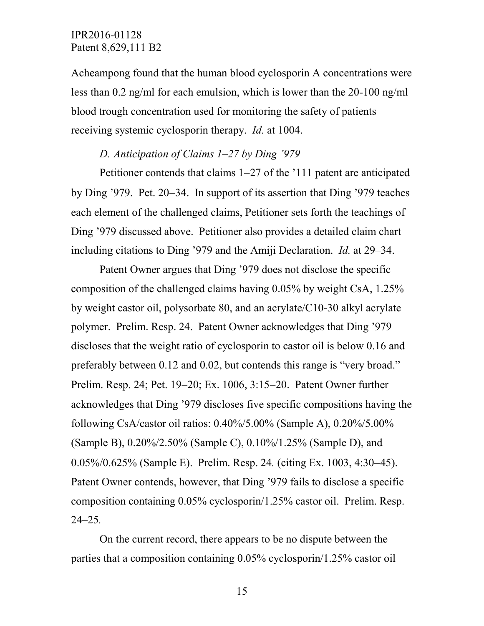Acheampong found that the human blood cyclosporin A concentrations were less than 0.2 ng/ml for each emulsion, which is lower than the 20-100 ng/ml blood trough concentration used for monitoring the safety of patients receiving systemic cyclosporin therapy. *Id.* at 1004.

## *D. Anticipation of Claims 1–27 by Ding '979*

Petitioner contends that claims 1−27 of the '111 patent are anticipated by Ding '979. Pet. 20−34. In support of its assertion that Ding '979 teaches each element of the challenged claims, Petitioner sets forth the teachings of Ding '979 discussed above. Petitioner also provides a detailed claim chart including citations to Ding '979 and the Amiji Declaration. *Id.* at 29–34.

Patent Owner argues that Ding '979 does not disclose the specific composition of the challenged claims having 0.05% by weight CsA, 1.25% by weight castor oil, polysorbate 80, and an acrylate/C10-30 alkyl acrylate polymer. Prelim. Resp. 24. Patent Owner acknowledges that Ding '979 discloses that the weight ratio of cyclosporin to castor oil is below 0.16 and preferably between 0.12 and 0.02, but contends this range is "very broad." Prelim. Resp. 24; Pet. 19−20; Ex. 1006, 3:15−20. Patent Owner further acknowledges that Ding '979 discloses five specific compositions having the following CsA/castor oil ratios: 0.40%/5.00% (Sample A), 0.20%/5.00% (Sample B), 0.20%/2.50% (Sample C), 0.10%/1.25% (Sample D), and 0.05%/0.625% (Sample E). Prelim. Resp. 24*.* (citing Ex. 1003, 4:30−45). Patent Owner contends, however, that Ding '979 fails to disclose a specific composition containing 0.05% cyclosporin/1.25% castor oil. Prelim. Resp. 24–25*.*

On the current record, there appears to be no dispute between the parties that a composition containing 0.05% cyclosporin/1.25% castor oil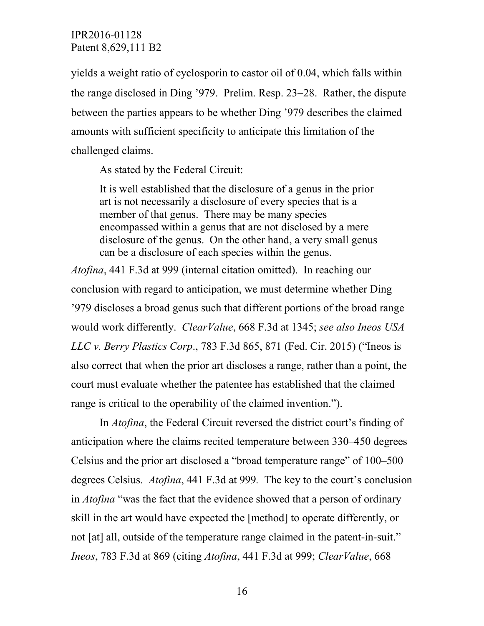yields a weight ratio of cyclosporin to castor oil of 0.04, which falls within the range disclosed in Ding '979. Prelim. Resp. 23−28. Rather, the dispute between the parties appears to be whether Ding '979 describes the claimed amounts with sufficient specificity to anticipate this limitation of the challenged claims.

As stated by the Federal Circuit:

It is well established that the disclosure of a genus in the prior art is not necessarily a disclosure of every species that is a member of that genus. There may be many species encompassed within a genus that are not disclosed by a mere disclosure of the genus. On the other hand, a very small genus can be a disclosure of each species within the genus.

*Atofina*, 441 F.3d at 999 (internal citation omitted). In reaching our conclusion with regard to anticipation, we must determine whether Ding '979 discloses a broad genus such that different portions of the broad range would work differently. *ClearValue*, 668 F.3d at 1345; *see also Ineos USA LLC v. Berry Plastics Corp*., 783 F.3d 865, 871 (Fed. Cir. 2015) ("Ineos is also correct that when the prior art discloses a range, rather than a point, the court must evaluate whether the patentee has established that the claimed range is critical to the operability of the claimed invention.").

In *Atofina*, the Federal Circuit reversed the district court's finding of anticipation where the claims recited temperature between 330–450 degrees Celsius and the prior art disclosed a "broad temperature range" of 100–500 degrees Celsius. *Atofina*, 441 F.3d at 999*.* The key to the court's conclusion in *Atofina* "was the fact that the evidence showed that a person of ordinary skill in the art would have expected the [method] to operate differently, or not [at] all, outside of the temperature range claimed in the patent-in-suit." *Ineos*, 783 F.3d at 869 (citing *Atofina*, 441 F.3d at 999; *ClearValue*, 668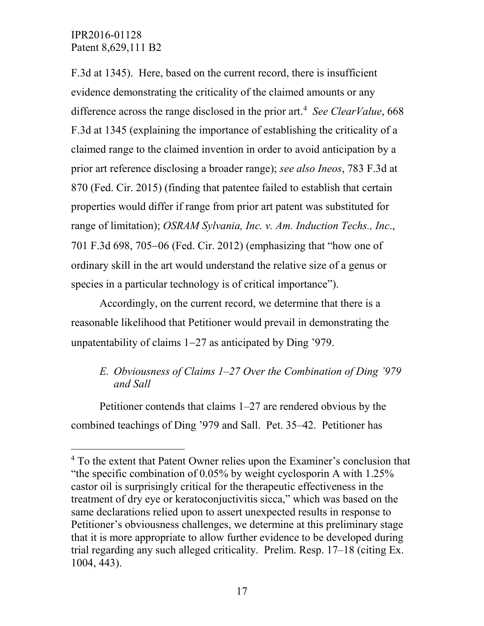F.3d at 1345). Here, based on the current record, there is insufficient evidence demonstrating the criticality of the claimed amounts or any difference across the range disclosed in the prior art. [4](#page-16-0) *See ClearValue*, 668 F.3d at 1345 (explaining the importance of establishing the criticality of a claimed range to the claimed invention in order to avoid anticipation by a prior art reference disclosing a broader range); *see also Ineos*, 783 F.3d at 870 (Fed. Cir. 2015) (finding that patentee failed to establish that certain properties would differ if range from prior art patent was substituted for range of limitation); *OSRAM Sylvania, Inc. v. Am. Induction Techs., Inc*., 701 F.3d 698, 705−06 (Fed. Cir. 2012) (emphasizing that "how one of ordinary skill in the art would understand the relative size of a genus or species in a particular technology is of critical importance").

Accordingly, on the current record, we determine that there is a reasonable likelihood that Petitioner would prevail in demonstrating the unpatentability of claims 1−27 as anticipated by Ding '979.

# *E. Obviousness of Claims 1–27 Over the Combination of Ding '979 and Sall*

Petitioner contends that claims 1–27 are rendered obvious by the combined teachings of Ding '979 and Sall. Pet. 35–42. Petitioner has

<span id="page-16-0"></span><sup>&</sup>lt;sup>4</sup> To the extent that Patent Owner relies upon the Examiner's conclusion that "the specific combination of 0.05% by weight cyclosporin A with 1.25% castor oil is surprisingly critical for the therapeutic effectiveness in the treatment of dry eye or keratoconjuctivitis sicca," which was based on the same declarations relied upon to assert unexpected results in response to Petitioner's obviousness challenges, we determine at this preliminary stage that it is more appropriate to allow further evidence to be developed during trial regarding any such alleged criticality. Prelim. Resp. 17–18 (citing Ex. 1004, 443).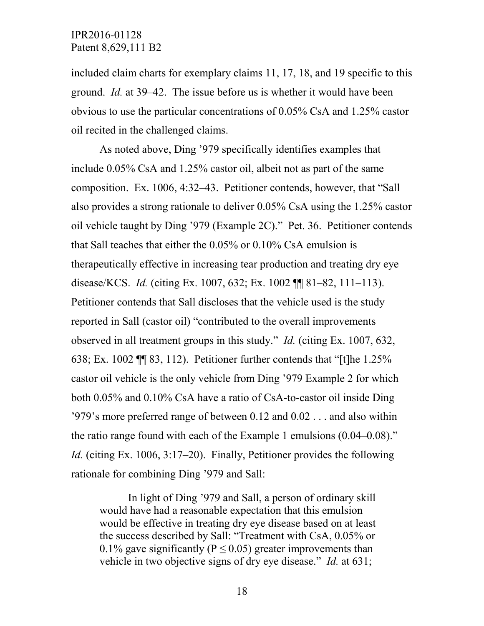included claim charts for exemplary claims 11, 17, 18, and 19 specific to this ground. *Id.* at 39–42. The issue before us is whether it would have been obvious to use the particular concentrations of 0.05% CsA and 1.25% castor oil recited in the challenged claims.

As noted above, Ding '979 specifically identifies examples that include 0.05% CsA and 1.25% castor oil, albeit not as part of the same composition. Ex. 1006, 4:32–43. Petitioner contends, however, that "Sall also provides a strong rationale to deliver 0.05% CsA using the 1.25% castor oil vehicle taught by Ding '979 (Example 2C)." Pet. 36. Petitioner contends that Sall teaches that either the 0.05% or 0.10% CsA emulsion is therapeutically effective in increasing tear production and treating dry eye disease/KCS. *Id.* (citing Ex. 1007, 632; Ex. 1002 ¶¶ 81–82, 111–113). Petitioner contends that Sall discloses that the vehicle used is the study reported in Sall (castor oil) "contributed to the overall improvements observed in all treatment groups in this study." *Id.* (citing Ex. 1007, 632, 638; Ex. 1002 ¶¶ 83, 112). Petitioner further contends that "[t]he 1.25% castor oil vehicle is the only vehicle from Ding '979 Example 2 for which both 0.05% and 0.10% CsA have a ratio of CsA-to-castor oil inside Ding '979's more preferred range of between 0.12 and 0.02 . . . and also within the ratio range found with each of the Example 1 emulsions (0.04–0.08)." *Id.* (citing Ex. 1006, 3:17–20). Finally, Petitioner provides the following rationale for combining Ding '979 and Sall:

In light of Ding '979 and Sall, a person of ordinary skill would have had a reasonable expectation that this emulsion would be effective in treating dry eye disease based on at least the success described by Sall: "Treatment with CsA, 0.05% or 0.1% gave significantly ( $P \le 0.05$ ) greater improvements than vehicle in two objective signs of dry eye disease." *Id.* at 631;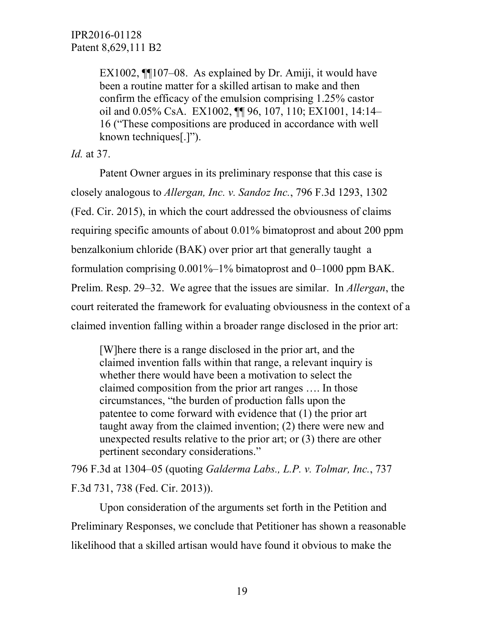EX1002, ¶¶107–08. As explained by Dr. Amiji, it would have been a routine matter for a skilled artisan to make and then confirm the efficacy of the emulsion comprising 1.25% castor oil and 0.05% CsA. EX1002, ¶¶ 96, 107, 110; EX1001, 14:14– 16 ("These compositions are produced in accordance with well known techniques[.]").

*Id.* at 37.

Patent Owner argues in its preliminary response that this case is closely analogous to *Allergan, Inc. v. Sandoz Inc.*, 796 F.3d 1293, 1302 (Fed. Cir. 2015), in which the court addressed the obviousness of claims requiring specific amounts of about 0.01% bimatoprost and about 200 ppm benzalkonium chloride (BAK) over prior art that generally taught a formulation comprising 0.001%–1% bimatoprost and 0–1000 ppm BAK. Prelim. Resp. 29–32. We agree that the issues are similar. In *Allergan*, the court reiterated the framework for evaluating obviousness in the context of a claimed invention falling within a broader range disclosed in the prior art:

[W]here there is a range disclosed in the prior art, and the claimed invention falls within that range, a relevant inquiry is whether there would have been a motivation to select the claimed composition from the prior art ranges …. In those circumstances, "the burden of production falls upon the patentee to come forward with evidence that (1) the prior art taught away from the claimed invention; (2) there were new and unexpected results relative to the prior art; or (3) there are other pertinent secondary considerations."

796 F.3d at 1304–05 (quoting *Galderma Labs., L.P. v. Tolmar, Inc.*, 737 F.3d 731, 738 (Fed. Cir. 2013)).

Upon consideration of the arguments set forth in the Petition and Preliminary Responses, we conclude that Petitioner has shown a reasonable likelihood that a skilled artisan would have found it obvious to make the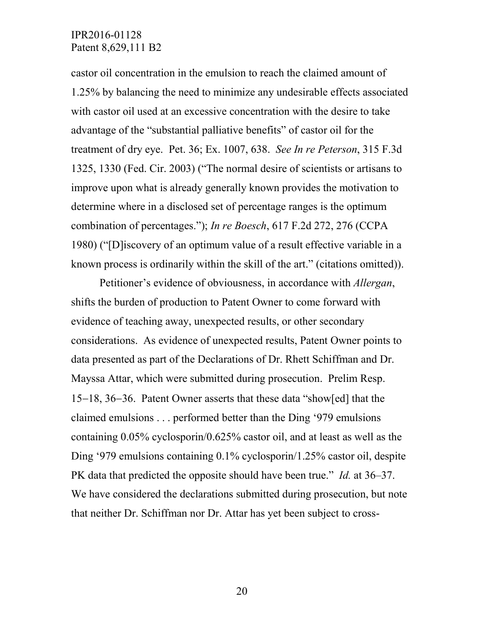castor oil concentration in the emulsion to reach the claimed amount of 1.25% by balancing the need to minimize any undesirable effects associated with castor oil used at an excessive concentration with the desire to take advantage of the "substantial palliative benefits" of castor oil for the treatment of dry eye. Pet. 36; Ex. 1007, 638. *See In re Peterson*, 315 F.3d 1325, 1330 (Fed. Cir. 2003) ("The normal desire of scientists or artisans to improve upon what is already generally known provides the motivation to determine where in a disclosed set of percentage ranges is the optimum combination of percentages."); *In re Boesch*, 617 F.2d 272, 276 (CCPA 1980) ("[D]iscovery of an optimum value of a result effective variable in a known process is ordinarily within the skill of the art." (citations omitted)).

Petitioner's evidence of obviousness, in accordance with *Allergan*, shifts the burden of production to Patent Owner to come forward with evidence of teaching away, unexpected results, or other secondary considerations. As evidence of unexpected results, Patent Owner points to data presented as part of the Declarations of Dr. Rhett Schiffman and Dr. Mayssa Attar, which were submitted during prosecution. Prelim Resp. 15−18, 36−36. Patent Owner asserts that these data "show[ed] that the claimed emulsions . . . performed better than the Ding '979 emulsions containing 0.05% cyclosporin/0.625% castor oil, and at least as well as the Ding '979 emulsions containing 0.1% cyclosporin/1.25% castor oil, despite PK data that predicted the opposite should have been true." *Id.* at 36–37. We have considered the declarations submitted during prosecution, but note that neither Dr. Schiffman nor Dr. Attar has yet been subject to cross-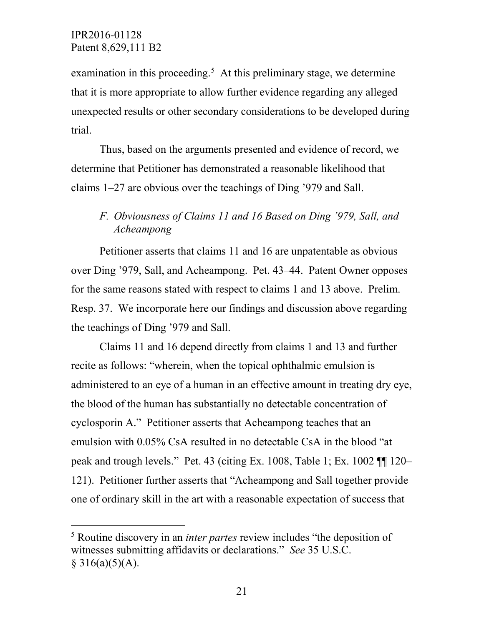examination in this proceeding.<sup>[5](#page-20-0)</sup> At this preliminary stage, we determine that it is more appropriate to allow further evidence regarding any alleged unexpected results or other secondary considerations to be developed during trial.

Thus, based on the arguments presented and evidence of record, we determine that Petitioner has demonstrated a reasonable likelihood that claims 1–27 are obvious over the teachings of Ding '979 and Sall.

# *F. Obviousness of Claims 11 and 16 Based on Ding '979, Sall, and Acheampong*

Petitioner asserts that claims 11 and 16 are unpatentable as obvious over Ding '979, Sall, and Acheampong. Pet. 43–44. Patent Owner opposes for the same reasons stated with respect to claims 1 and 13 above. Prelim. Resp. 37. We incorporate here our findings and discussion above regarding the teachings of Ding '979 and Sall.

Claims 11 and 16 depend directly from claims 1 and 13 and further recite as follows: "wherein, when the topical ophthalmic emulsion is administered to an eye of a human in an effective amount in treating dry eye, the blood of the human has substantially no detectable concentration of cyclosporin A." Petitioner asserts that Acheampong teaches that an emulsion with 0.05% CsA resulted in no detectable CsA in the blood "at peak and trough levels." Pet. 43 (citing Ex. 1008, Table 1; Ex. 1002 ¶¶ 120– 121). Petitioner further asserts that "Acheampong and Sall together provide one of ordinary skill in the art with a reasonable expectation of success that

<span id="page-20-0"></span> <sup>5</sup> Routine discovery in an *inter partes* review includes "the deposition of witnesses submitting affidavits or declarations." *See* 35 U.S.C.  $§ 316(a)(5)(A).$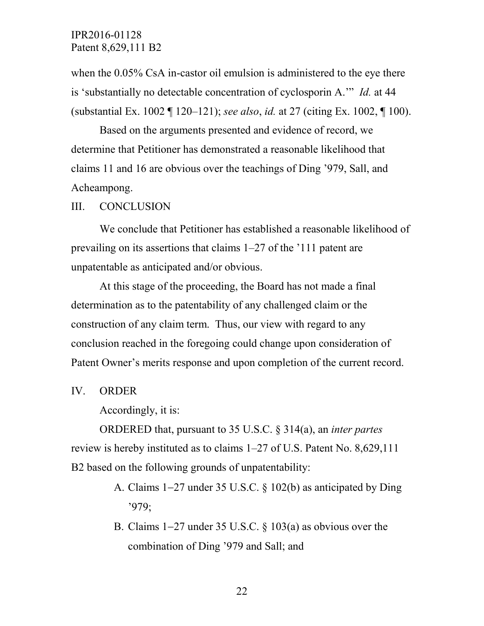when the  $0.05\%$  CsA in-castor oil emulsion is administered to the eye there is 'substantially no detectable concentration of cyclosporin A.'" *Id.* at 44 (substantial Ex. 1002 ¶ 120–121); *see also*, *id.* at 27 (citing Ex. 1002, ¶ 100).

Based on the arguments presented and evidence of record, we determine that Petitioner has demonstrated a reasonable likelihood that claims 11 and 16 are obvious over the teachings of Ding '979, Sall, and Acheampong.

#### III. CONCLUSION

We conclude that Petitioner has established a reasonable likelihood of prevailing on its assertions that claims 1–27 of the '111 patent are unpatentable as anticipated and/or obvious.

At this stage of the proceeding, the Board has not made a final determination as to the patentability of any challenged claim or the construction of any claim term. Thus, our view with regard to any conclusion reached in the foregoing could change upon consideration of Patent Owner's merits response and upon completion of the current record.

IV. ORDER

Accordingly, it is:

ORDERED that, pursuant to 35 U.S.C. § 314(a), an *inter partes* review is hereby instituted as to claims 1–27 of U.S. Patent No. 8,629,111 B2 based on the following grounds of unpatentability:

- A. Claims 1−27 under 35 U.S.C. § 102(b) as anticipated by Ding '979;
- B. Claims 1−27 under 35 U.S.C. § 103(a) as obvious over the combination of Ding '979 and Sall; and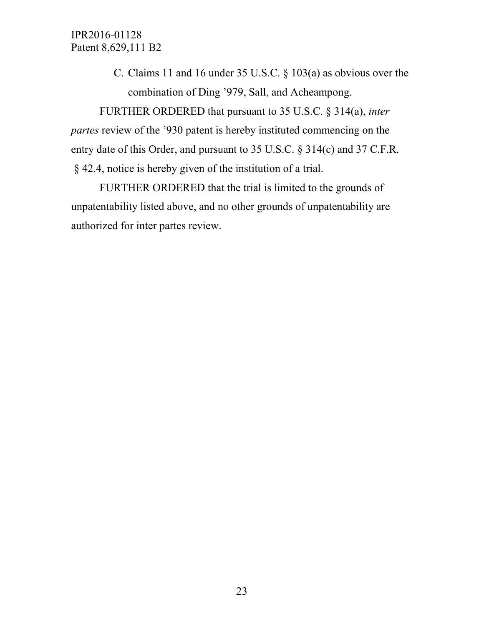> C. Claims 11 and 16 under 35 U.S.C. § 103(a) as obvious over the combination of Ding '979, Sall, and Acheampong.

FURTHER ORDERED that pursuant to 35 U.S.C. § 314(a), *inter partes* review of the '930 patent is hereby instituted commencing on the entry date of this Order, and pursuant to 35 U.S.C. § 314(c) and 37 C.F.R. § 42.4, notice is hereby given of the institution of a trial.

FURTHER ORDERED that the trial is limited to the grounds of unpatentability listed above, and no other grounds of unpatentability are authorized for inter partes review.